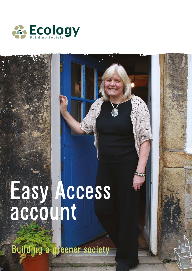

# Easy Access account

Building a greener society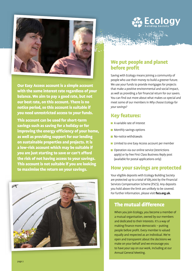



Our Easy Access account is a simple account with the same interest rate regardless of your balance. We aim to pay a good rate, but not our best rate, on this account. There is no notice period, so this account is suitable if you need unrestricted access to your funds.

This account can be used for short-term savings such as saving for a holiday or for improving the energy efficiency of your home, as well as providing support for our lending on sustainable properties and projects. It is a low-risk account which may be suitable if you are just starting to save or can't afford the risk of not having access to your savings. This account is not suitable if you are looking to maximise the return on your savings.



## We put people and planet before profit

Saving with Ecology means joining a community of people who use their money to build a greener future. We use your funds to provide mortgages for projects that make a positive environmental and social impact, as well as providing a fair financial return for our savers. You can find out more about what makes us special and meet some of our members in *Why choose Ecology for your savings?* 

### Key features:

- A variable rate of interest
- **Monthly savings options**
- **No-notice withdrawals**
- **Limited to one Easy Access account per member**
- **Operation via our online service (restrictions** apply) or by free First Class Business Reply post (available for postal applications only)

# How your savings are protected

Your eligible deposits with Ecology Building Society are protected up to a total of £85,000 by the Financial Services Compensation Scheme (FSCS). Any deposits you hold above the limit are unlikely to be covered. For further information, please visit **fscs.org.uk**.

# The mutual difference

When you join Ecology, you become a member of a mutual organisation, owned by our members and dedicated to their interests. It's a way of making finance more democratic – putting people before profit. Every member is valued equally and respected as an individual. We're open and transparent about the decisions we make on your behalf and we encourage you to have your say on our work, including at our Annual General Meeting.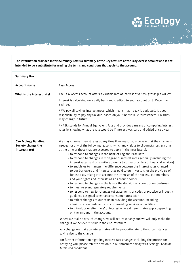#### **The information provided in this Summary Box is a summary of the key features of the Easy Access account and is not intended to be a substitute for reading the terms and conditions that apply to the account.**

ang pang

| <b>Summary Box</b>                                                  |                                                                                                                                                                                                                                                                                                                                                                                                                                                                                                                                                                                                                                                                                                                                                                                                                                                                                                                                                                                                                                                                                                                                                                                                                                                                                                                                                                                                                                                                                                                                                                                                                                                                                                                                                                                                          |
|---------------------------------------------------------------------|----------------------------------------------------------------------------------------------------------------------------------------------------------------------------------------------------------------------------------------------------------------------------------------------------------------------------------------------------------------------------------------------------------------------------------------------------------------------------------------------------------------------------------------------------------------------------------------------------------------------------------------------------------------------------------------------------------------------------------------------------------------------------------------------------------------------------------------------------------------------------------------------------------------------------------------------------------------------------------------------------------------------------------------------------------------------------------------------------------------------------------------------------------------------------------------------------------------------------------------------------------------------------------------------------------------------------------------------------------------------------------------------------------------------------------------------------------------------------------------------------------------------------------------------------------------------------------------------------------------------------------------------------------------------------------------------------------------------------------------------------------------------------------------------------------|
| <b>Account name</b>                                                 | Easy Access                                                                                                                                                                                                                                                                                                                                                                                                                                                                                                                                                                                                                                                                                                                                                                                                                                                                                                                                                                                                                                                                                                                                                                                                                                                                                                                                                                                                                                                                                                                                                                                                                                                                                                                                                                                              |
| What is the interest rate?                                          | The Easy Access account offers a variable rate of interest of 0.60% gross* p.a./AER**<br>Interest is calculated on a daily basis and credited to your account on 31 December<br>each year.<br>* We pay all savings interest gross, which means that no tax is deducted. It's your<br>responsibility to pay any tax due, based on your individual circumstances. Tax rules<br>may change in future.<br>** AER stands for Annual Equivalent Rate and provides a means of comparing interest<br>rates by showing what the rate would be if interest was paid and added once a year.                                                                                                                                                                                                                                                                                                                                                                                                                                                                                                                                                                                                                                                                                                                                                                                                                                                                                                                                                                                                                                                                                                                                                                                                                         |
| <b>Can Ecology Building</b><br>Society change the<br>interest rate? | We may change interest rates at any time if we reasonably believe that the change is<br>needed for any of the following reasons (which may relate to circumstances existing<br>at the time or those that are expected to apply in the near future):<br>• to respond to changes in the Bank of England Base Rate<br>• to respond to changes in mortgage or interest rates generally (including the<br>interest rates paid on similar accounts by other providers of financial services)<br>• to enable us to manage the difference between the interest rates charged<br>to our borrowers and interest rates paid to our investors, or the providers of<br>funds to us, taking into account the interests of the Society, our members,<br>and your rights and interests as an account holder<br>• to respond to changes in the law or the decision of a court or ombudsman<br>• to meet relevant regulatory requirements<br>• to respond to new (or changes to) statements or codes of practice or industry<br>guidance designed to enhance consumer protection<br>• to reflect changes to our costs in providing the account, including<br>administration costs and costs of providing services or facilities<br>• to introduce or alter 'tiers' of interest where different rates apply depending<br>on the amount in the account.<br>Where we make any such change, we will act reasonably and we will only make the<br>change if we believe it is fair in the circumstances.<br>Any change we make to interest rates will be proportionate to the circumstances<br>giving rise to the change.<br>For further information regarding interest rate changes including the process for<br>notifying you, please refer to section 7 in our brochure Saving with Ecology - General<br>terms and conditions. |

**ECOLOG**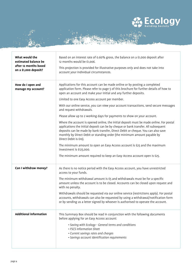

 $\frac{1}{2} \sum_{i=1}^{n} \frac{1}{2} \sum_{j=1}^{n} \frac{1}{2} \sum_{j=1}^{n} \frac{1}{2} \sum_{j=1}^{n} \frac{1}{2} \sum_{j=1}^{n} \frac{1}{2} \sum_{j=1}^{n} \frac{1}{2} \sum_{j=1}^{n} \frac{1}{2} \sum_{j=1}^{n} \frac{1}{2} \sum_{j=1}^{n} \frac{1}{2} \sum_{j=1}^{n} \frac{1}{2} \sum_{j=1}^{n} \frac{1}{2} \sum_{j=1}^{n} \frac{1}{2} \sum_{j=1}^{n$ 

an C

| What would the<br>estimated balance be<br>after 12 months based<br>on a £1,000 deposit? | Based on an interest rate of 0.60% gross, the balance on a £1,000 deposit after<br>12 months would be £1,006.<br>This projection is provided for illustrative purposes only and does not take into<br>account your individual circumstances.                                                                                                                                                                                                                                                                                                                                                                                                                                                                                                                                                                                                                                                                                                                                                                                                           |
|-----------------------------------------------------------------------------------------|--------------------------------------------------------------------------------------------------------------------------------------------------------------------------------------------------------------------------------------------------------------------------------------------------------------------------------------------------------------------------------------------------------------------------------------------------------------------------------------------------------------------------------------------------------------------------------------------------------------------------------------------------------------------------------------------------------------------------------------------------------------------------------------------------------------------------------------------------------------------------------------------------------------------------------------------------------------------------------------------------------------------------------------------------------|
| How do I open and<br>manage my account?                                                 | Applications for this account can be made online or by posting a completed<br>application form. Please refer to page 5 of this brochure for further details of how to<br>open an account and make your initial and any further deposits.<br>Limited to one Easy Access account per member.<br>With our online service, you can view your account transactions, send secure messages<br>and request withdrawals.<br>Please allow up to 2 working days for payments to show on your account.<br>Where the account is opened online, the initial deposit must be made online. For postal<br>applications the initial deposit can be by cheque or bank transfer. All subsequent<br>deposits can be made by bank transfer, Direct Debit or cheque. You can also save<br>monthly by Direct Debit or standing order (the minimum amount payable by<br>Direct Debit is £10).<br>The minimum amount to open an Easy Access account is £25 and the maximum<br>investment is £125,000.<br>The minimum amount required to keep an Easy Access account open is £25. |
| Can I withdraw money?                                                                   | As there is no notice period with the Easy Access account, you have unrestricted<br>access to your funds.<br>The minimum withdrawal amount is £5 and withdrawals must be for a specific<br>amount unless the account is to be closed. Accounts can be closed upon request and<br>with no penalty.<br>Withdrawals should be requested via our online service (restrictions apply). For postal<br>accounts, withdrawals can also be requested by using a withdrawal/notification form<br>or by sending us a letter signed by whoever is authorised to operate the account.                                                                                                                                                                                                                                                                                                                                                                                                                                                                               |
| <b>Additional information</b>                                                           | This Summary Box should be read in conjunction with the following documents<br>before applying for an Easy Access account:<br>· Saving with Ecology - General terms and conditions<br>• FSCS Information Sheet<br>• Current savings rates and charges<br>· Savings account identification requirements                                                                                                                                                                                                                                                                                                                                                                                                                                                                                                                                                                                                                                                                                                                                                 |

189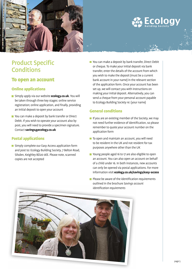



# Product Specific **Conditions**

#### To open an account

#### Online applications

- Simply apply via our website **ecology.co.uk**. You will be taken through three key stages: online service registration; online application, and finally, providing an initial deposit to open your account
- You can make a deposit by bank transfer or Direct Debit. If you wish to operate your account also by post, you will need to provide a specimen signature. Contact **savings@ecology.co.uk**

#### Postal applications

**Simply complete our Easy Access application form** and post to: Ecology Building Society, 7 Belton Road, Silsden, Keighley BD20 0EE. Please note, scanned copies are not accepted

■ You can make a deposit by bank transfer, Direct Debit or cheque. To make your initial deposit via bank transfer, enter the details of the account from which you wish to make the deposit (must be a current bank account in your name) in the relevant section of the application form. Once your account has been set up, we will contact you with instructions on making your initial deposit. Alternatively, you can send a cheque from your personal account payable to Ecology Building Society re: (your name)

#### General conditions

- $\blacksquare$  If you are an existing member of the Society, we may not need further evidence of identification, so please remember to quote your account number on the application form
- To open and maintain an account, you will need to be resident in the UK and not resident for tax purposes anywhere other than the UK
- Young people aged 16 to 17 are also eligible to open an account. You can also open an account on behalf of a child under 16. In both instances, new accounts can only be opened via postal applications. For more information visit **ecology.co.uk/savings/easy-access**
- $\blacksquare$  Please be aware of the identification requirements outlined in the brochure *Savings account identification requirements*